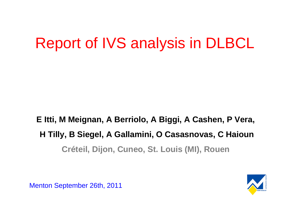# Report of IVS analysis in DLBCL

### **E Itti, M Meignan, A Berriolo, A Biggi, A Cashen, P Vera, H Tilly, B Siegel, A Gallamini, O Casasnovas, C HaiounCréteil, Dijon, Cuneo, St. Louis (MI), Rouen**



Menton September 26th, 2011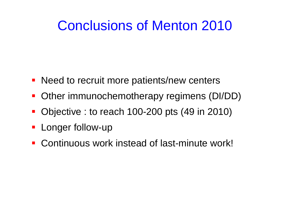## Conclusions of Menton 2010

- **Need to recruit more patients/new centers**
- **Other immunochemotherapy regimens (DI/DD)**
- Objective : to reach 100-200 pts (49 in 2010)
- **-** Longer follow-up
- Continuous work instead of last-minute work!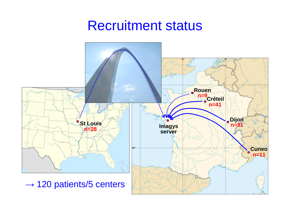### Recruitment status

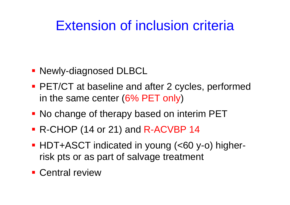## Extension of inclusion criteria

- Newly-diagnosed DLBCL
- **PET/CT** at baseline and after 2 cycles, performed in the same center (6% PET only)
- **No change of therapy based on interim PET**
- R-CHOP (14 or 21) and R-ACVBP 14
- HDT+ASCT indicated in young (<60 y-o) higherrisk pts or as part of salvage treatment
- **Central review**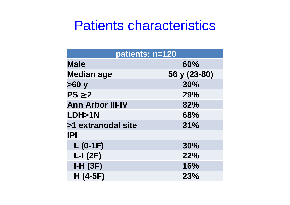### Patients characteristics

| patients: n=120         |              |  |  |  |
|-------------------------|--------------|--|--|--|
| <b>Male</b>             | 60%          |  |  |  |
| <b>Median age</b>       | 56 y (23-80) |  |  |  |
| >60y                    | 30%          |  |  |  |
| $PS \geq 2$             | 29%          |  |  |  |
| <b>Ann Arbor III-IV</b> | 82%          |  |  |  |
| LDH>1N                  | 68%          |  |  |  |
| >1 extranodal site      | 31%          |  |  |  |
| <b>IPI</b>              |              |  |  |  |
| $L$ (0-1F)              | 30%          |  |  |  |
| $L-I(2F)$               | 22%          |  |  |  |
| $I-H(3F)$               | 16%          |  |  |  |
| $H(4-5F)$               | 23%          |  |  |  |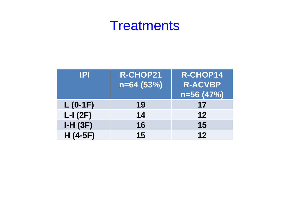### **Treatments**

| IPI        | <b>R-CHOP21</b><br>$n=64(53%)$ | R-CHOP14<br><b>R-ACVBP</b> |
|------------|--------------------------------|----------------------------|
|            |                                | $n=56(47%)$                |
| $L$ (0-1F) | 19                             | 17                         |
| $L-I(2F)$  | 14                             | 12                         |
| $I-H(3F)$  | 16                             | 15                         |
| $H(4-5F)$  | 15                             | 12                         |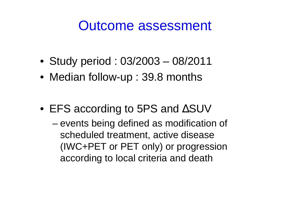### Outcome assessment

- Study period : 03/2003 08/2011
- Median follow-up : 39.8 months
- EFS according to 5PS and ∆SUV
	- and the state of events being defined as modification of scheduled treatment, active disease (IWC+PET or PET only) or progression according to local criteria and death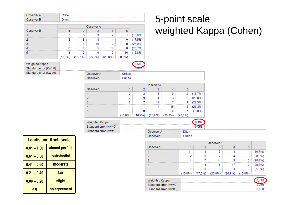| <i>O</i> bserver A | réteil |  |
|--------------------|--------|--|
| Observer Bi        | ∩ijon  |  |

|            | Observer A |  |   |    |  |
|------------|------------|--|---|----|--|
| Observer B |            |  |   |    |  |
|            |            |  |   |    |  |
|            |            |  |   |    |  |
|            |            |  |   |    |  |
|            |            |  | . |    |  |
|            |            |  |   | 16 |  |
|            |            |  |   |    |  |

### 5-point scaleweighted Kappa (Cohen)

| Weighted Kappa         |             |         |
|------------------------|-------------|---------|
| Standard error (Kw'=0) |             |         |
| Standard error (Kw'#0) | Observer A  | ∵réteil |
|                        | Observer Bl | Iner    |

|            | Observer A |  |  |  |  |
|------------|------------|--|--|--|--|
| Observer B |            |  |  |  |  |
|            |            |  |  |  |  |
|            |            |  |  |  |  |
|            |            |  |  |  |  |
|            |            |  |  |  |  |
|            |            |  |  |  |  |
|            |            |  |  |  |  |

| Weighted Kappa         |            |              |  |
|------------------------|------------|--------------|--|
| Standard error (Kw'=0) |            |              |  |
| Standard error (Kw#0)  | Observer A | <b>Diion</b> |  |

Observer B

| <b>Landis and Koch scale</b> |                |  |
|------------------------------|----------------|--|
| $0.81 - 1.00$                | almost perfect |  |
| $0.61 - 0.80$                | substantial    |  |
| $0.41 - 0.60$                | moderate       |  |
| $0.21 - 0.40$                | fair           |  |
| $0.00 - 0.20$                | slight         |  |
| < 0                          | no agreement   |  |

| Observer A             |            |   |        |         |         |  |
|------------------------|------------|---|--------|---------|---------|--|
| Observer B             |            | ິ |        |         |         |  |
|                        |            |   |        |         |         |  |
|                        |            |   |        |         | 3       |  |
|                        |            |   |        |         |         |  |
|                        |            |   |        |         | g       |  |
|                        |            |   |        |         | A       |  |
|                        | $(15.0\%)$ |   | $1%$ ) | (26.7%) | (15.8%) |  |
| Weighted Kappa         |            |   |        |         |         |  |
| Standard error (Kw'=0) |            |   |        |         |         |  |
| Standard error (Kw'#0) |            |   |        |         |         |  |

Cuneo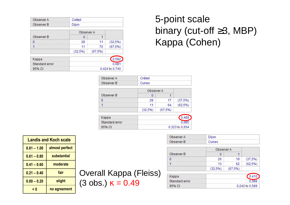| Observer A | Créteil |
|------------|---------|
| Observer B | Dijon   |

|            | Observer A |         |         |
|------------|------------|---------|---------|
| Observer B |            |         |         |
|            | 28         | 11      | (32.5%) |
|            | 11         | 70      | (67.5%) |
|            | (32,5%)    | (67.5%) |         |

| Kappa          |                |
|----------------|----------------|
| Standard error |                |
| 95% CL         | 0.424 to 0.740 |

### 5-point scale binary (cut-off ≥3, MBP)Kappa (Cohen)

| Observer A     | Créteil    |             |                |
|----------------|------------|-------------|----------------|
| Observer B     | Cuneo      |             |                |
|                | Observer A |             |                |
| Observer B     |            |             |                |
| n              | 28         | 17          | (37,5%)        |
|                | 11         | 64          | (62,5%)        |
|                | (32,5%)    | $(67, 5\%)$ |                |
| Kappa          |            |             | 489            |
| Standard error |            |             | 085            |
| 95% CI         |            |             | 0,323 to 0,654 |

| Observer A | Dijon |
|------------|-------|
| Observer B | Cuneo |

|            | Observer A |        |         |
|------------|------------|--------|---------|
| Observer B |            |        |         |
|            | 26         | 19     | (37,5%) |
|            | 13         | 62     | (62.5%) |
|            | (32.5%)    | (67,5% |         |

| Kappa          |                |
|----------------|----------------|
| Standard error |                |
| 95% CL         | 0.242 to 0.589 |

| <b>Landis and Koch scale</b> |                |  |
|------------------------------|----------------|--|
| $0.81 - 1.00$                | almost perfect |  |
| $0.61 - 0.80$                | substantial    |  |
| $0.41 - 0.60$                | moderate       |  |
| $0.21 - 0.40$                | fair           |  |
| $0.00 - 0.20$                | slight         |  |
| < 0                          | no agreement   |  |

Overall Kappa (Fleiss) $(3 \text{ obs.}) \text{ κ} = 0.49$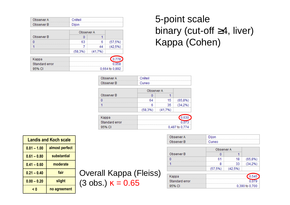| Observer A | Créteil |
|------------|---------|
| Observer B | Dijon   |

|            | Observer A |         |             |
|------------|------------|---------|-------------|
| Observer B |            |         |             |
|            | 63         | 6       | $(57, 5\%)$ |
|            |            | 44      | (42.5%)     |
|            | (58.3%)    | (41.7%) |             |

| Kappa          |                |
|----------------|----------------|
| Standard error |                |
| 95% CL         | 0.664 to 0.892 |

### 5-point scale binary (cut-off ≥4, liver)Kappa (Cohen)

| Observer A     | Créteil     |                |         |
|----------------|-------------|----------------|---------|
| Observer B     | Cuneo       |                |         |
|                | Observer A  |                |         |
| Observer B     | n           |                |         |
| O              | 64          | 15             | (65,8%) |
|                | 6           | 35             | (34,2%) |
|                | $(58, 3\%)$ | (41,7%         |         |
| Kappa          |             |                | 0,630   |
| Standard error |             | 073            |         |
| 95% CI         |             | 0,487 to 0,774 |         |

| Observer A | <b>Dijon</b> |
|------------|--------------|
| Observer B | Cuneo.       |

|            | Observer A |         |         |
|------------|------------|---------|---------|
| Observer B |            |         |         |
|            | 61         | 18      | (65,8%) |
|            | 8          | 33      | (34.2%) |
|            | (57.5%)    | (42.5%) |         |

| Kappa          |                |
|----------------|----------------|
| Standard error |                |
| 95% CL         | 0.390 to 0.700 |

| Landis and Koch scale |                |
|-----------------------|----------------|
| $0.81 - 1.00$         | almost perfect |
| $0.61 - 0.80$         | substantial    |
| $0.41 - 0.60$         | moderate       |
| $0.21 - 0.40$         | fair           |
| $0.00 - 0.20$         | slight         |
| < 0                   | no agreement   |

Overall Kappa (Fleiss) $(3 \text{ obs.}) \text{ κ} = 0.65$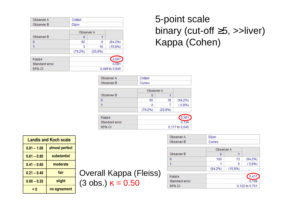| Observer A | Créteil |
|------------|---------|
| Observer B | Nijon   |

|            | Observer A |         |         |
|------------|------------|---------|---------|
| Observer B |            |         |         |
|            | 92         | 9       | (84.2%) |
|            |            | 16      | (15,8%) |
|            | (79.2%)    | (20.8%) |         |

| Kappa          |                |
|----------------|----------------|
| Standard error | 0.09           |
| 95% CL         | 0.489 to 0.846 |

### 5-point scale binary (cut-off ≥5, >>liver)Kappa (Cohen)

| Observer A     | Créteil     |             |                |
|----------------|-------------|-------------|----------------|
| Observer B     | Cuneo       |             |                |
|                | Observer A  |             |                |
| Observer B     |             |             |                |
| n              | 95          | 18          | (94,2%)        |
|                | o           |             | (5,8%          |
|                | $(79, 2\%)$ | $(20, 8\%)$ |                |
| Kappa          |             |             | 0.38           |
| Standard error |             | 134         |                |
| 95% CI         |             |             | 0,117 to 0,645 |

| Observer A | Dijon |
|------------|-------|
| Observer B | Cuneo |

|            | Observer A |            |         |
|------------|------------|------------|---------|
| Observer B |            |            |         |
|            | 100        | 13         | (94.2%) |
|            |            |            | (5.8%)  |
|            | (84.2%)    | $(15,8\%)$ |         |

| Kappa          |                |
|----------------|----------------|
| Standard error |                |
| 95% CL         | 0.122 to 0.701 |

| Landis and Koch scale           |              |
|---------------------------------|--------------|
| almost perfect<br>$0.81 - 1.00$ |              |
| $0.61 - 0.80$                   | substantial  |
| $0.41 - 0.60$                   | moderate     |
| fair<br>$0.21 - 0.40$           |              |
| $0.00 - 0.20$                   | slight       |
| < 0                             | no agreement |

Overall Kappa (Fleiss) $(3 \text{ obs.}) \text{ κ} = 0.50$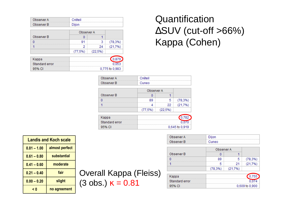| Observer A | Créteil |
|------------|---------|
| Observer B | Dijon   |

|            | Observer A |         |             |
|------------|------------|---------|-------------|
| Observer B |            |         |             |
|            | 91         |         | $(78, 3\%)$ |
|            |            | 24      | (21,7%)     |
|            | (77.5%)    | (22.5%) |             |

| Kappa          |                |
|----------------|----------------|
| Standard error | 0.051          |
| 95% CL         | 0,775 to 0,983 |

### **Quantification**  ∆SUV (cut-off >66%)Kappa (Cohen)

| Observer A     | Créteil |            |                |
|----------------|---------|------------|----------------|
| Observer B     | Cuneo   |            |                |
|                |         | Observer A |                |
| Observer B     | n       |            |                |
| n              | 89      | 5          | $(78, 3\%)$    |
|                | 4       | 22         | (21,7%)        |
|                | (77,5%) | (22,5%)    |                |
| Kappa          |         |            | 0.782          |
| Standard error |         |            |                |
| 95% CI         |         |            | 0,645 to 0,919 |

| Observer A | Dijon |
|------------|-------|
| Observer B | Cuneo |

|            | Observer A  |         |             |
|------------|-------------|---------|-------------|
| Observer B |             |         |             |
|            | 89          | 5       | $(78, 3\%)$ |
|            |             | 21      | (21.7%)     |
|            | $(78, 3\%)$ | (21,7%) |             |

| Kappa          |                |
|----------------|----------------|
| Standard error |                |
| 95% CL         | 0.609 to 0.900 |

| <b>Landis and Koch scale</b> |                |  |
|------------------------------|----------------|--|
| $0.81 - 1.00$                | almost perfect |  |
| $0.61 - 0.80$                | substantial    |  |
| $0.41 - 0.60$                | moderate       |  |
| $0.21 - 0.40$                | fair           |  |
| $0.00 - 0.20$                | slight         |  |
| < 0                          | no agreement   |  |

Overall Kappa (Fleiss)(3 obs.)  $κ = 0.81$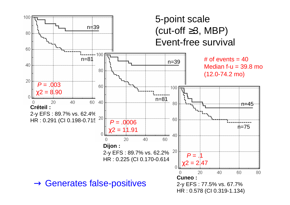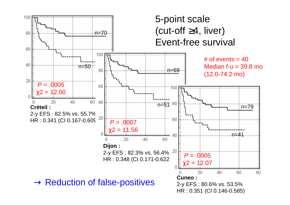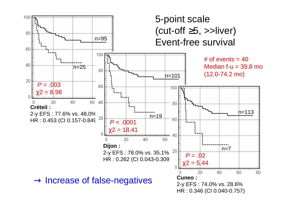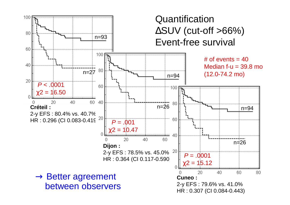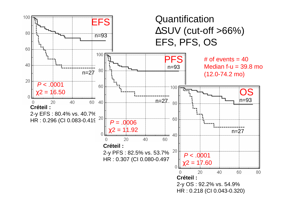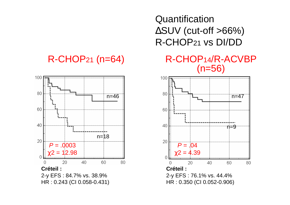#### R-CHOP21 (n=64)



**Quantification**  ∆SUV (cut-off >66%)R-CHOP21 vs DI/DD



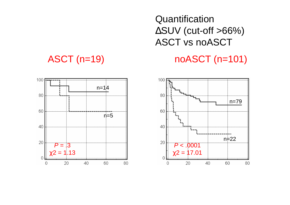#### **Quantification**  ∆SUV (cut-off >66%)ASCT vs noASCT

#### noASCT (n=101)

#### ASCT (n=19)



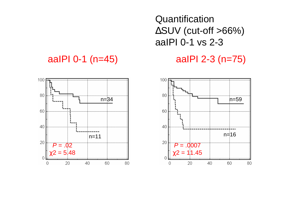**Quantification**  ∆SUV (cut-off >66%)aaIPI 0-1 vs 2-3

#### aaIPI 2-3 (n=75)



#### aaIPI 0-1 (n=45)

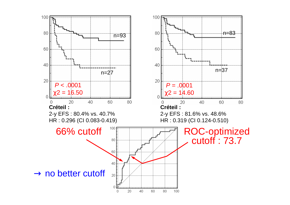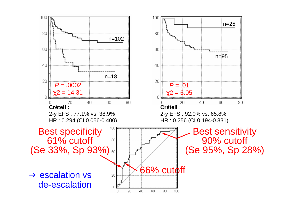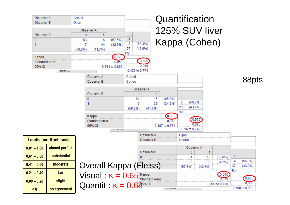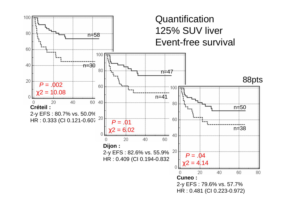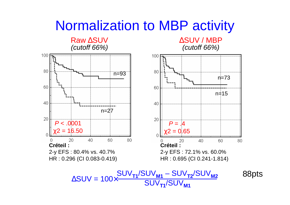### Normalization to MBP activity



$$
\Delta SUV = 100 \times \frac{SUV_{T1}/UUV_{M1}}{SUV_{T1}/SUV_{M1}}
$$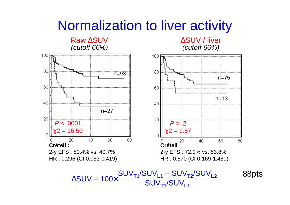### Normalization to liver activity